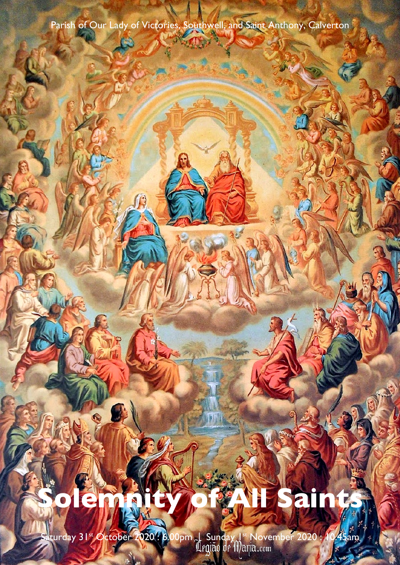Parish of Our Lady of Victories, Southwell, and Saint Anthony, Calverton

**All you** 

 $J^{(n)}$ 

# **Solemnity of All Saints**

turday 31<sup>st</sup> October 2020 : 6.00pm | Sunday 1<sup>st</sup> November 2020 : 10.45am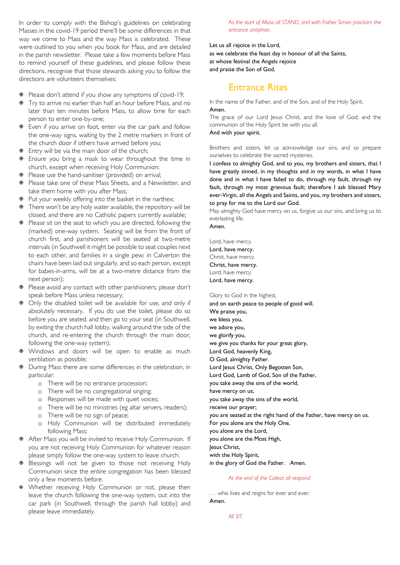In order to comply with the Bishop's guidelines on celebrating Masses in the covid-19 period there'll be some differences in that way we come to Mass and the way Mass is celebrated. These were outlined to you when you book for Mass, and are detailed in the parish newsletter. Please take a few moments before Mass to remind yourself of these guidelines, and please follow these directions, recognise that those stewards asking you to follow the directions are volunteers themselves:

- X Please don't attend if you show any symptoms of covid-19;
- **X** Try to arrive no earlier than half an hour before Mass, and no later than ten minutes before Mass, to allow time for each person to enter one-by-one;
- **X** Even if you arrive on foot, enter via the car park and follow the one-way signs, waiting by the 2 metre markers in front of the church door if others have arrived before you;
- **E** Entry will be via the main door of the church;
- X Ensure you bring a mask to wear throughout the time in church, except when receiving Holy Communion;
- $\cdot$  Please use the hand-sanitiser (provided) on arrival:
- X Please take one of these Mass Sheets, and a Newsletter, and take them home with you after Mass;
- $\mathbf{\Psi}$  Put your weekly offering into the basket in the narthex;
- **X** There won't be any holy water available, the repository will be closed, and there are no Catholic papers currently available;
- X Please sit on the seat to which you are directed, following the (marked) one-way system. Seating will be from the front of church first, and parishioners will be seated at two-metre intervals (in Southwell it might be possible to seat couples next to each other, and families in a single pew; in Calverton the chairs have been laid out singularly, and so each person, except for babes-in-arms, will be at a two-metre distance from the next person);
- X Please avoid any contact with other parishioners; please don't speak before Mass unless necessary;
- $\mathbf{\Psi}$  Only the disabled toilet will be available for use, and only if absolutely necessary. If you do use the toilet, please do so before you are seated, and then go to your seat (in Southwell, by exiting the church hall lobby, walking around the side of the church, and re-entering the church through the main door, following the one-way system);
- X Windows and doors will be open to enable as much ventilation as possible;
- X During Mass there are some differences in the celebration, in particular:
	- o There will be no entrance procession;
	- o There will be no congregational singing;
	- o Responses will be made with quiet voices;
	- o There will be no ministries (eg altar servers, readers);
	- o There will be no sign of peace;
	- o Holy Communion will be distributed immediately following Mass;
- **X** After Mass you will be invited to receive Holy Communion. If you are not receiving Holy Communion for whatever reason please simply follow the one-way system to leave church.
- X Blessings will not be given to those not receiving Holy Communion since the entire congregation has been blessed only a few moments before.
- X Whether receiving Holy Communion or not, please then leave the church following the one-way system, out into the car park (in Southwell, through the parish hall lobby) and please leave immediately.

#### *As the start of Mass all STAND, and with Father Simon proclaim the entrance antiphon.*

## Let us all rejoice in the Lord,

as we celebrate the feast day in honour of all the Saints, at whose festival the Angels rejoice and praise the Son of God.

# Entrance Rites

In the name of the Father, and of the Son, and of the Holy Spirit. Amen.

The grace of our Lord Jesus Christ, and the love of God, and the communion of the Holy Spirit be with you all.

## And with your spirit.

Brothers and sisters, let us acknowledge our sins, and so prepare ourselves to celebrate the sacred mysteries.

I confess to almighty God, and to you, my brothers and sisters, that I have greatly sinned, in my thoughts and in my words, in what I have done and in what I have failed to do, through my fault, through my fault, through my most grievous fault; therefore I ask blessed Mary ever-Virgin, all the Angels and Saints, and you, my brothers and sisters, to pray for me to the Lord our God.

May almighty God have mercy on us, forgive us our sins, and bring us to everlasting life.

Amen.

Lord, have mercy. Lord, have mercy. Christ, have mercy. Christ, have mercy. Lord, have mercy. Lord, have mercy.

Glory to God in the highest,

and on earth peace to people of good will.

We praise you,

we bless you,

we adore you,

we glorify you,

we give you thanks for your great glory,

Lord God, heavenly King,

O God, almighty Father.

Lord Jesus Christ, Only Begotten Son,

Lord God, Lamb of God, Son of the Father,

you take away the sins of the world,

have mercy on us;

you take away the sins of the world,

receive our prayer;

you are seated at the right hand of the Father, have mercy on us.

For you alone are the Holy One,

you alone are the Lord,

you alone are the Most High,

lesus Christ.

with the Holy Spirit,

in the glory of God the Father. Amen.

#### *At the end of the Collect all respond:*

. . . who lives and reigns for ever and ever. Amen.

*All SIT.*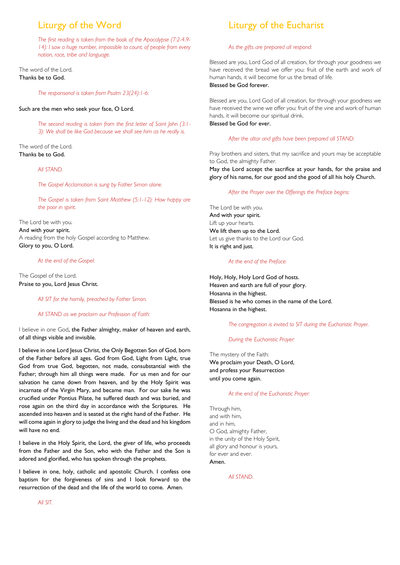# Liturgy of the Word

*The first reading is taken from the book of the Apocalypse (7:2-4.9- 14): I saw a huge number, impossible to count, of people from every nation, race, tribe and language.*

# The word of the Lord. Thanks be to God.

*The responsorial is taken from Psalm 23(24):1-6:*

#### Such are the men who seek your face, O Lord.

*The second reading is taken from the first letter of Saint John (3:1- 3): We shall be like God because we shall see him as he really is.*

## The word of the Lord. Thanks be to God.

#### *All STAND.*

*The Gospel Acclamation is sung by Father Simon alone.*

*The Gospel is taken from Saint Matthew (5:1-12): How happy are the poor in spirit.*

The Lord be with you. And with your spirit. A reading from the holy Gospel according to Matthew. Glory to you, O Lord.

#### *At the end of the Gospel:*

The Gospel of the Lord. Praise to you, Lord Jesus Christ.

*All SIT for the homily, preached by Father Simon.*

*All STAND as we proclaim our Profession of Faith:*

I believe in one God, the Father almighty, maker of heaven and earth, of all things visible and invisible.

I believe in one Lord Jesus Christ, the Only Begotten Son of God, born of the Father before all ages. God from God, Light from Light, true God from true God, begotten, not made, consubstantial with the Father; through him all things were made. For us men and for our salvation he came down from heaven, and by the Holy Spirit was incarnate of the Virgin Mary, and became man. For our sake he was crucified under Pontius Pilate, he suffered death and was buried, and rose again on the third day in accordance with the Scriptures. He ascended into heaven and is seated at the right hand of the Father. He will come again in glory to judge the living and the dead and his kingdom will have no end.

I believe in the Holy Spirit, the Lord, the giver of life, who proceeds from the Father and the Son, who with the Father and the Son is adored and glorified, who has spoken through the prophets.

I believe in one, holy, catholic and apostolic Church. I confess one baptism for the forgiveness of sins and I look forward to the resurrection of the dead and the life of the world to come. Amen.

# Liturgy of the Eucharist

#### *As the gifts are prepared all respond:*

Blessed are you, Lord God of all creation, for through your goodness we have received the bread we offer you: fruit of the earth and work of human hands, it will become for us the bread of life. Blessed be God forever.

Blessed are you, Lord God of all creation, for through your goodness we have received the wine we offer you: fruit of the vine and work of human hands, it will become our spiritual drink.

# Blessed be God for ever.

#### *After the altar and gifts have been prepared all STAND:*

Pray brothers and sisters, that my sacrifice and yours may be acceptable to God, the almighty Father.

May the Lord accept the sacrifice at your hands, for the praise and glory of his name, for our good and the good of all his holy Church.

### *After the Prayer over the Offerings the Preface begins:*

The Lord be with you. And with your spirit. Lift up your hearts. We lift them up to the Lord. Let us give thanks to the Lord our God. It is right and just.

#### *At the end of the Preface:*

Holy, Holy, Holy Lord God of hosts. Heaven and earth are full of your glory. Hosanna in the highest. Blessed is he who comes in the name of the Lord. Hosanna in the highest.

*The congregation is invited to SIT during the Eucharistic Prayer.*

## *During the Eucharistic Prayer:*

The mystery of the Faith: We proclaim your Death, O Lord, and profess your Resurrection until you come again.

#### *At the end of the Eucharistic Prayer:*

Through him, and with him, and in him, O God, almighty Father, in the unity of the Holy Spirit, all glory and honour is yours, for ever and ever. Amen.

#### *All STAND.*